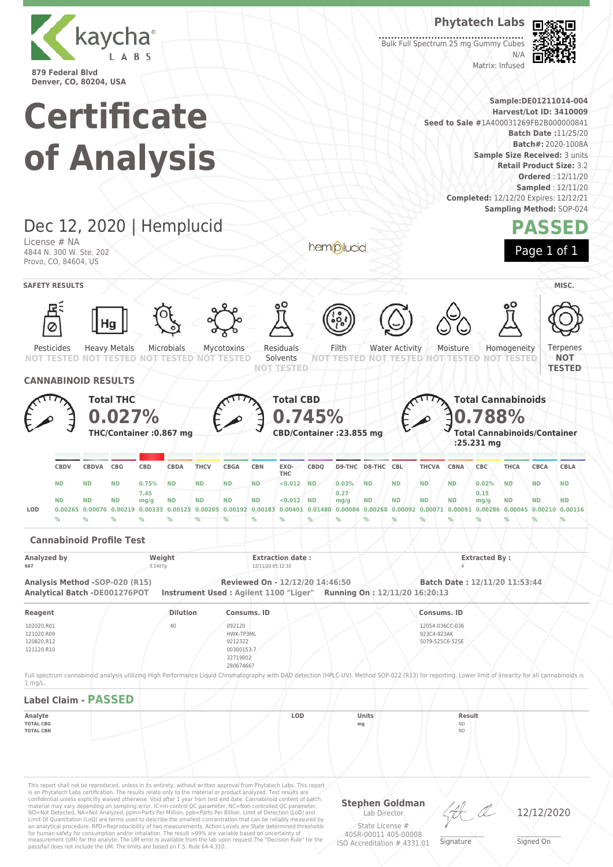

#### **Phytatech Labs**

Matrix: Infused

Bulk Full Spectrum 25 mg Gummy Cubes  $N/L$ 



**Sample:DE01211014-004 Harvest/Lot ID: 3410009 Seed to Sale #**1A400031269FB2B000000841 **Batch Date :**11/25/20 **Batch#:** 2020-1008A **Sample Size Received:** 3 units **Retail Product Size:** 3.2 **Ordered** : 12/11/20 **Sampled** : 12/11/20 **Completed:** 12/12/20 Expires: 12/12/21 **Sampling Method:** SOP-024

**Certificate of Analysis**

Dec 12, 2020 | Hemplucid **PASSED** License # NA hemplucid Page 1 of 1 4844 N. 300 W. Ste. 202 Provo, CO, 84604, US **SAFETY RESULTS** MISC. Water Activity Microbials Residuals Filth Ternenes Pesticides Heavy Metals Mycotoxins Moisture Homogeneity **NOT NOT TESTED TESTED NOT TESTED** NOT **NOT TESTED** Solvents **TESTED NOT NOT TESTED NOT TESTED NOT TESTED NOT TESTED TESTED CANNABINOID RESULTS Total THC Total CBD Total Cannabinoids 0.027% 0.745% 0.788% THC/Container :0.867 mg CBD/Container :23.855 mg Total Cannabinoids/Container :25.231 mg CBDQ D9-THC D8-THC CBL THCVA CBNA CBC THCA CBCA CBLA CBDV CBDVA CBG CBD CBDA THCV CBGA CBN EXO-THC ND ND ND 0.75% ND ND ND ND <0.012 ND 0.03% ND ND ND ND 0.02% ND ND ND 7.45 0.27 0.15 ND ND ND mg/g ND ND ND ND <0.012 ND mg/g ND ND ND ND mg/g ND ND ND** LOD 0.00255 0.00070 0.00219 0.00333 0.00125 0.00205 0.00192 0.00183 0.00401 0.01480 0.00084 0.00266 0.00092 0.00071 0.00091 0.00286 0.00045 0.00210 0.00116 **% % % % % % % % % % % % % % % % % % % Cannabinoid Profile Test Analyzed by Weight Extraction date : Extracted By : 667** 3.1407g 12/11/20 05:12:33 4 **Analysis Method -SOP-020 (R15) Reviewed On - 12/12/20 14:46:50 Batch Date : 12/11/20 11:53:44 Analytical Batch -DE001276POT Instrument Used : Agilent 1100 "Liger" Running On : 12/11/20 16:20:13 Reagent Dilution Consums. ID Consums. ID** 102020.R01 40 092120 12054-036CC-036 121020.R09 HWK-TP3ML 923C4-923AK 120820.R12 9212322 5079-525C6-525E 121120.R10 00300153-7 32719002 280674667 Full spectrum cannabinoid analysis utilizing High Performance Liquid Chromatography with DAD detection (HPLC-UV). Method SOP-022 (R13) for reporting. Lower limit of linearity for all cannabinoids is 1 mg/L. **Label Claim - PASSED Analyte LOD Units Result TOTAL CBG mg** ND **TOTAL CBN** ND This report shall not be reproduced, unless in its entirety, without written approval from Phytatech Labs. This report is an Phytatech Labs certification. The results relate only to the material or product analyzed. Test results are<br>confidential unless explicitly waived otherwise. Void after 1 year from test end date. Cannabinoid content o **Stephen Goldman**

Limit Of Quantitation (LoQ) are terms used to describe the smallest concentration that can be reliably measured by an analytical procedure. RPD=Reproducibility of two measurements. Action Levels are State determined thresholds for human safety for consumption and/or inhalation. The result >99% are variable based on uncertainty of measurement (UM) for the analyte. The UM error is available from the lab upon request.The "Decision Rule" for the pass/fail does not include the UM. The limits are based on F.S. Rule 64-4.310.

Lab Director State License #

ISO Accreditation # 4331.01

405R-00011 405-00008 \_\_\_\_\_\_\_\_\_\_\_\_\_\_\_\_\_\_\_ Signature

12/12/2020

\_\_\_\_\_\_\_\_\_\_\_\_\_\_\_\_\_\_\_ Signed On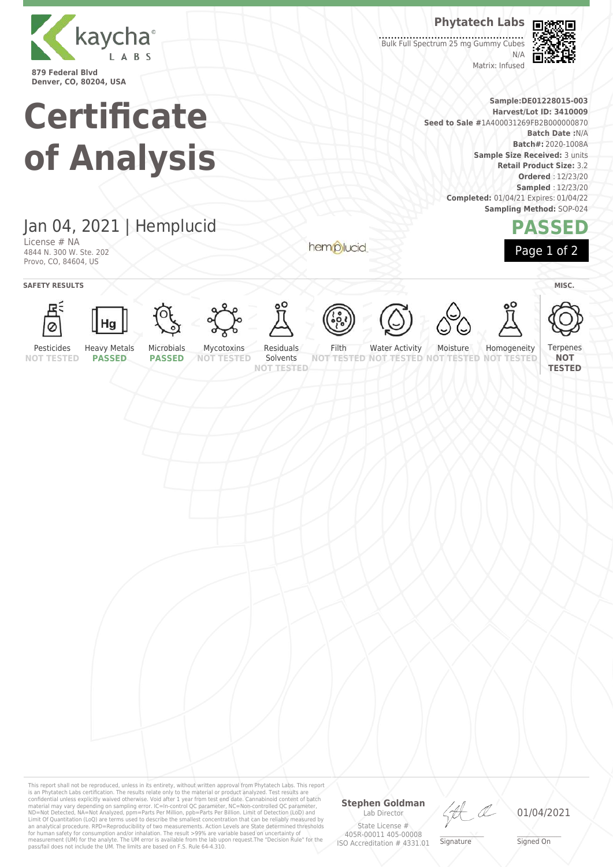

### **Phytatech Labs**

Bulk Full Spectrum 25 mg Gummy Cubes  $N/L$ Matrix: Infused



**Sample:DE01228015-003 Harvest/Lot ID: 3410009 Seed to Sale #**1A400031269FB2B000000870 **Batch Date :**N/A **Batch#:** 2020-1008A **Sample Size Received:** 3 units **Retail Product Size:** 3.2 **Ordered** : 12/23/20 **Sampled** : 12/23/20 **Completed:** 01/04/21 Expires: 01/04/22 **Sampling Method:** SOP-024



**Certificate of Analysis**

## Jan 04, 2021 | Hemplucid

License # NA 4844 N. 300 W. Ste. 202 Provo, CO, 84604, US

**SAFETY RESULTS** MISC.





















hemplucid









Terpenes **NOT TESTED**

Pesticides **NOT TESTED**

**PASSED**

**PASSED**

This report shall not be reproduced, unless in its entirety, without written approval from Phytatech Labs. This report<br>is an Phytatech Labs certification. The results relate only to the material or product analyzed. Test

**NOT TESTED** Solvents **NOT TESTED**

Filth

Water Activity Moisture

**TESTED NOT NOT TESTED**

**NOT TESTED NOT TESTED**

Homogeneity

**Stephen Goldman** Lab Director State License # \_\_\_\_\_\_\_\_\_\_\_\_\_\_\_\_\_\_\_ Signature



405R-00011 405-00008 ISO Accreditation # 4331.01

\_\_\_\_\_\_\_\_\_\_\_\_\_\_\_\_\_\_\_ Signed On